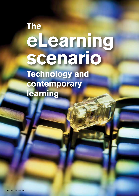# **The eLearning scenario Technology and**

**contemporary learning**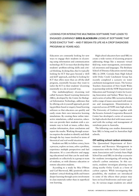

Looking for interactive multimedia software that leads to engaged learning? Greg Blackburn looks at software that does exactly that – and it began its life as a crop diagnosis program 20 years ago.

Educators are constantly looking for new ways to engage their students in eLearning using information and communication technology (ICT) in ways that develop their students' problem-solving skills and critical thinking. In doing that, they're typically looking for ICT that goes beyond a 'drill and skill' approach, and they're looking for ICT that offers more than an off-the-shelf program, essentially because they want to tailor the ICT to their students' eLearning essentially in a do-it-yourself way.

One multidisciplinary eLearning tool called Scenario Based Learning Interactive (SBLi), developed by the Centre for Biological Information Technology, addresses that by offering a do-it-yourself approach, providing problem-based or enquiry-based learning software so that educators can quickly and easily create their own interactive learning simulations. By creating these online interactive simulations, called scenarios, educators can provide their students with a systematic way to look at issues, collect data, analyse information, draw conclusions and report the results. Working through scenarios requires the student to identify and think through the key issues involved in terms of theoretical and real-world situations.

Students use SBLi to follow a story, learn a process, explore an issue, solve a problem, experience multiple perspectives and fuel discussion. It's a cost-effective and engaging educational tool that can be used independently or collectively in a group or team of students, or with distance education or remote education students.

According to a study by Mia O'Brien and Carl Sherwood, SBLi positively affects students' critical thinking skills and fosters deeper learning through active involvement in class materials rather than in superficial rote learning.

High school educators have used SBLi to create a wide variety of eLearning projects addressing things like a museum virtual field trip, water management, environmental awareness and languages. The Brisbane School of Distance Education started using SBLi in 2008. Corinda State High School with Oxley Creek Catchment Group has recently completed a scenario on water catchment management issues. The Science Teachers Association of New South Wales in partnership with the NSW Department of Education and Training's Centre for Learning Innovation and Sydney Water has created a series of online SBLi scenarios dealing with a range of issues associated with water use and management. Dissemination is expected across all NSW state high schools. The University of Canberra together with the Invasive Animals Cooperative Research Centre has developed a series of scenarios for high schools that deal with issues associated with the ecology and management of vertebrate pests in Australia.

The following case studies demonstrate how SBLi is being used in Australian high schools.

### Off-setting school carbon emissions

The Queensland Department of Environment and Resource Management in conjunction with the Oxley Creek Catchment Association and Corinda State High School has used SBLi to develop a scenario for students investigating off-setting the school's carbon emissions. In this scenario, students investigate planting trees along nearby Oxley Creek as a form of carbon capture. While investigating this possibility, the students are introduced to some of the effects their project may have on local biodiversity and water quality. At various stages students are asked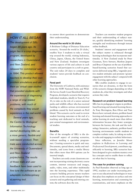# *How it all began*

*The development of SBLi began 20 years ago. Its origin lies in a crop diagnosis program, developed by researchers in Queensland and New Zealand, and released for commercial sale in 1994. This product allowed teachers to develop their own problem simulations and use them as 'virtual case studies' that provided students with the experience of diagnosing a range of crop-related problems, with much of the complexity they would experience in the real-world.* 

*Several years ago, the Centre for Biological Information Technology started developing SBLi as a more generic, flexible and web-based product. Then trials were conducted across the University of Queensland and New Zealand polytechnics. The results of those trials and user feedback have been used to fine tune the software as an adaptable multidisciplinary eLearning tool.*

to answer short questions to demonstrate their understanding.

### Around the world in 20 clicks

A Brisbane College of Distance Education scenario, 'Around the world in 20 clicks,' enables Year 3 students to take a virtual trip around the world, visiting Indonesia, China, Japan, Ghana, the United States and New Zealand. Students investigate various aspects of life and culture in each country and participate in a craft or game. The unit takes 20 days to complete and students' tutors provide feedback on conclusion.

## Feral peril

The University of Canberra, with assistance from the NSW National Parks and Wildlife Service South Coast Shorebird Recovery Program, developed a scenario that requires individual students, ideally in Years 8, 9 or 10, to take on the role of a senior national parks and wildlife officer who has received funding to address serious environmental problems caused by feral animals on Peril Island. This scenario can be used to review student learning outcomes at the end of a teaching unit dedicated to feral animals, pest animal management and environmental studies.

### **Benefits**

One of the strengths of SBLi is the doit-yourself aspect of creating scenarios, without needing a specialist programmer. Creating scenarios is quick and easy. Documents, spread sheets, media and multimedia, and icons from a media library that offers more than 800 options can be inserted simply.

Teachers can easily create classroom content incorporating existing electronic course content, internet resources and images, audio, video, tests, and other multimedia into the learning experience. This rapid scenario building process means teachers can focus on the conceptual design of their scenario and on gathering and entering content; the software does the rest.

Teachers can monitor student progress and their understanding of subject matter, quickly identifying students' learning strengths and weaknesses through instant online feedback.

Students' interest and engagement with the subject matter is enhanced through learning technologies that incorporate multimedia. A New Zealand study by Peter Gossman, Terry Stewart, Marlene Jaspers and Bruce Chapman on the use of problembased-learning scenarios found that scenarios delivered using SBLi, 'engender positive student attitudes and promote 'greater engagement with the subject' compared with other learning approaches.

SBLi enables students to engage in scenarios that are dynamic, in that the form of the scenario changes depending on what students do, what they investigate and what actions they take.

### Research on problem-based learning

SBLi has its pedagogical origins in problembased learning and situated-learning theory. As Tony Herrington, Ron Oliver and Tom Reeves have variously shown, problem-based learning and situated-learning approaches to online learning do much more than deliver information because they foster synergies between the learner, the task and the technology. Immersive, authentic, problem-based learning environments enable students to complete realistic tasks, by taking on realistic roles and engaging in realistic behaviours.

Since reflection, as Jennifer Moon explains in *Reflections in Learning and Professional Development*, contributes significantly to learning, SBLi scenarios have been designed to give students mastery over key concepts and to enable them to reflect on what they're learning.

### The case for problem solving

As Paul Ramsden observed as long ago as 1992, teachers are under increasing pressure to use educational technologies in ways that place less emphasis on surface and rote learning, memorisation and cramming for examinations, and more emphasis on the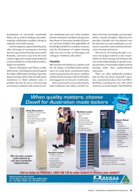development of real-world, transferable skills such as critical thinking and understanding collaborative problem solving in authentic real-world contexts.

Such an emphasis, argues Linda Harasim, takes advantage of contemporary learning theories espoused by David Jonassen and by Ramsden, and moves away from the more common approach of replicating traditional teacher-led delivery of information within a digital environment.

Reeves, Herrington and Oliver, in their 2004 article, 'A development research agenda for online collaborative learning,' argue that deeper learning will be achieved with online simulations in which authentic tasks or problems become the focus of the learning environment. Authentic tasks, based on real-

istic simulations and cases where students become immersed in problem solving, have been shown to have many benefits for learners, not least of which is the applicability of knowledge and skills in workplace contexts, and the development of student learning skills. For more on this, see Herrington and colleagues' 'Authentic tasks online.'

#### **Flexibility**

SBLi has been developed as a cognitive tool for the design of problem-based simulations. It's a step above conventional online scenario presentations because it combines problem-based learning with the flexibility and engagement of interactive multimedia.

Many educational courses and materials, both traditional and online, provide students with basic knowledge and principles about a specific discipline. SBLinteractive provides a flexible and cost-effective way for educators to create simulations, or scenarios, to provide contextualised and interactive learning experiences.

The process of working through a scenario encourages students to take responsibility for their learning and facilitates the real-world understanding of specific learning outcomes. It encourages student-centred learning rather than teacher-directed instruction.

There are other multimedia products that do this, but they're generally expensive, customised products that lack SBLi's flexibility, including the ease with which scenarios can be developed. That flexibility